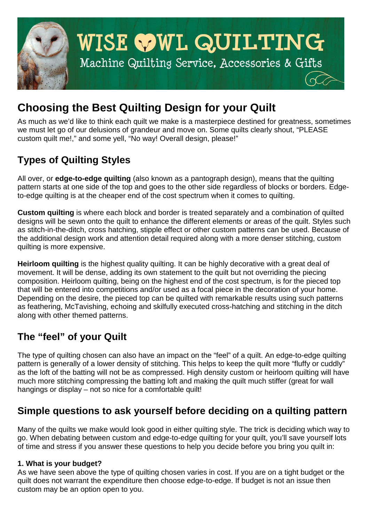

# **Choosing the Best Quilting Design for your Quilt**

As much as we'd like to think each quilt we make is a masterpiece destined for greatness, sometimes we must let go of our delusions of grandeur and move on. Some quilts clearly shout, "PLEASE custom quilt me!," and some yell, "No way! Overall design, please!"

## **Types of Quilting Styles**

All over, or **edge-to-edge quilting** (also known as a pantograph design), means that the quilting pattern starts at one side of the top and goes to the other side regardless of blocks or borders. Edgeto-edge quilting is at the cheaper end of the cost spectrum when it comes to quilting.

**Custom quilting** is where each block and border is treated separately and a combination of quilted designs will be sewn onto the quilt to enhance the different elements or areas of the quilt. Styles such as stitch-in-the-ditch, cross hatching, stipple effect or other custom patterns can be used. Because of the additional design work and attention detail required along with a more denser stitching, custom quilting is more expensive.

**Heirloom quilting** is the highest quality quilting. It can be highly decorative with a great deal of movement. It will be dense, adding its own statement to the quilt but not overriding the piecing composition. Heirloom quilting, being on the highest end of the cost spectrum, is for the pieced top that will be entered into competitions and/or used as a focal piece in the decoration of your home. Depending on the desire, the pieced top can be quilted with remarkable results using such patterns as feathering, McTavishing, echoing and skilfully executed cross-hatching and stitching in the ditch along with other themed patterns.

### **The "feel" of your Quilt**

The type of quilting chosen can also have an impact on the "feel" of a quilt. An edge-to-edge quilting pattern is generally of a lower density of stitching. This helps to keep the quilt more "fluffy or cuddly" as the loft of the batting will not be as compressed. High density custom or heirloom quilting will have much more stitching compressing the batting loft and making the quilt much stiffer (great for wall hangings or display – not so nice for a comfortable quilt!

### **Simple questions to ask yourself before deciding on a quilting pattern**

Many of the quilts we make would look good in either quilting style. The trick is deciding which way to go. When debating between custom and edge-to-edge quilting for your quilt, you'll save yourself lots of time and stress if you answer these questions to help you decide before you bring you quilt in:

#### **1. What is your budget?**

As we have seen above the type of quilting chosen varies in cost. If you are on a tight budget or the quilt does not warrant the expenditure then choose edge-to-edge. If budget is not an issue then custom may be an option open to you.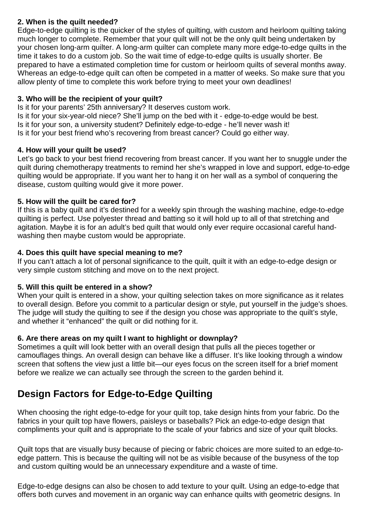#### **2. When is the quilt needed?**

Edge-to-edge quilting is the quicker of the styles of quilting, with custom and heirloom quilting taking much longer to complete. Remember that your quilt will not be the only quilt being undertaken by your chosen long-arm quilter. A long-arm quilter can complete many more edge-to-edge quilts in the time it takes to do a custom job. So the wait time of edge-to-edge quilts is usually shorter. Be prepared to have a estimated completion time for custom or heirloom quilts of several months away. Whereas an edge-to-edge quilt can often be competed in a matter of weeks. So make sure that you allow plenty of time to complete this work before trying to meet your own deadlines!

#### **3. Who will be the recipient of your quilt?**

Is it for your parents' 25th anniversary? It deserves custom work. Is it for your six-year-old niece? She'll jump on the bed with it - edge-to-edge would be best. Is it for your son, a university student? Definitely edge-to-edge - he'll never wash it! Is it for your best friend who's recovering from breast cancer? Could go either way.

#### **4. How will your quilt be used?**

Let's go back to your best friend recovering from breast cancer. If you want her to snuggle under the quilt during chemotherapy treatments to remind her she's wrapped in love and support, edge-to-edge quilting would be appropriate. If you want her to hang it on her wall as a symbol of conquering the disease, custom quilting would give it more power.

#### **5. How will the quilt be cared for?**

If this is a baby quilt and it's destined for a weekly spin through the washing machine, edge-to-edge quilting is perfect. Use polyester thread and batting so it will hold up to all of that stretching and agitation. Maybe it is for an adult's bed quilt that would only ever require occasional careful handwashing then maybe custom would be appropriate.

#### **4. Does this quilt have special meaning to me?**

If you can't attach a lot of personal significance to the quilt, quilt it with an edge-to-edge design or very simple custom stitching and move on to the next project.

#### **5. Will this quilt be entered in a show?**

When your quilt is entered in a show, your quilting selection takes on more significance as it relates to overall design. Before you commit to a particular design or style, put yourself in the judge's shoes. The judge will study the quilting to see if the design you chose was appropriate to the quilt's style, and whether it "enhanced" the quilt or did nothing for it.

#### **6. Are there areas on my quilt I want to highlight or downplay?**

Sometimes a quilt will look better with an overall design that pulls all the pieces together or camouflages things. An overall design can behave like a diffuser. It's like looking through a window screen that softens the view just a little bit—our eyes focus on the screen itself for a brief moment before we realize we can actually see through the screen to the garden behind it.

### **Design Factors for Edge-to-Edge Quilting**

When choosing the right edge-to-edge for your quilt top, take design hints from your fabric. Do the fabrics in your quilt top have flowers, paisleys or baseballs? Pick an edge-to-edge design that compliments your quilt and is appropriate to the scale of your fabrics and size of your quilt blocks.

Quilt tops that are visually busy because of piecing or fabric choices are more suited to an edge-toedge pattern. This is because the quilting will not be as visible because of the busyness of the top and custom quilting would be an unnecessary expenditure and a waste of time.

Edge-to-edge designs can also be chosen to add texture to your quilt. Using an edge-to-edge that offers both curves and movement in an organic way can enhance quilts with geometric designs. In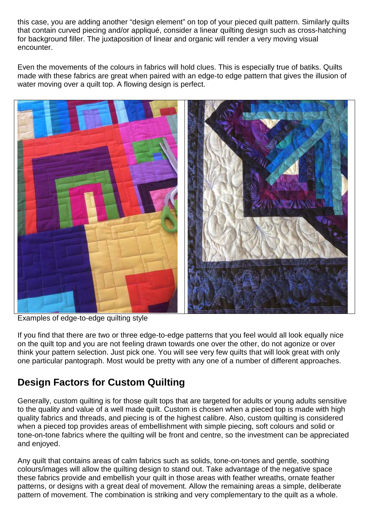this case, you are adding another "design element" on top of your pieced quilt pattern. Similarly quilts that contain curved piecing and/or appliqué, consider a linear quilting design such as cross-hatching for background filler. The juxtaposition of linear and organic will render a very moving visual encounter.

Even the movements of the colours in fabrics will hold clues. This is especially true of batiks. Quilts made with these fabrics are great when paired with an edge-to edge pattern that gives the illusion of water moving over a quilt top. A flowing design is perfect.



Examples of edge-to-edge quilting style

If you find that there are two or three edge-to-edge patterns that you feel would all look equally nice on the quilt top and you are not feeling drawn towards one over the other, do not agonize or over think your pattern selection. Just pick one. You will see very few quilts that will look great with only one particular pantograph. Most would be pretty with any one of a number of different approaches.

### **Design Factors for Custom Quilting**

Generally, custom quilting is for those quilt tops that are targeted for adults or young adults sensitive to the quality and value of a well made quilt. Custom is chosen when a pieced top is made with high quality fabrics and threads, and piecing is of the highest calibre. Also, custom quilting is considered when a pieced top provides areas of embellishment with simple piecing, soft colours and solid or tone-on-tone fabrics where the quilting will be front and centre, so the investment can be appreciated and enjoyed.

Any quilt that contains areas of calm fabrics such as solids, tone-on-tones and gentle, soothing colours/images will allow the quilting design to stand out. Take advantage of the negative space these fabrics provide and embellish your quilt in those areas with feather wreaths, ornate feather patterns, or designs with a great deal of movement. Allow the remaining areas a simple, deliberate pattern of movement. The combination is striking and very complementary to the quilt as a whole.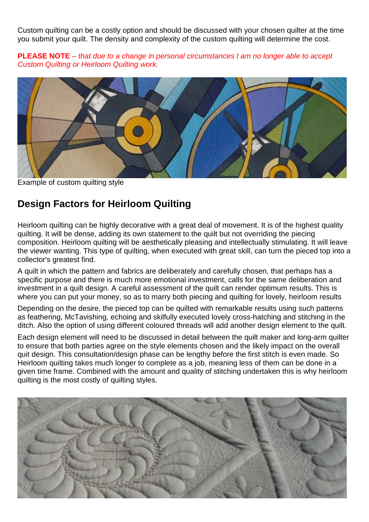Custom quilting can be a costly option and should be discussed with your chosen quilter at the time you submit your quilt. The density and complexity of the custom quilting will determine the cost.

**PLEASE NOTE** – that due to a change in personal circumstances I am no longer able to accept Custom Quilting or Heirloom Quilting work.



Example of custom quilting style

### **Design Factors for Heirloom Quilting**

Heirloom quilting can be highly decorative with a great deal of movement. It is of the highest quality quilting. It will be dense, adding its own statement to the quilt but not overriding the piecing composition. Heirloom quilting will be aesthetically pleasing and intellectually stimulating. It will leave the viewer wanting. This type of quilting, when executed with great skill, can turn the pieced top into a collector's greatest find.

A quilt in which the pattern and fabrics are deliberately and carefully chosen, that perhaps has a specific purpose and there is much more emotional investment, calls for the same deliberation and investment in a quilt design. A careful assessment of the quilt can render optimum results. This is where you can put your money, so as to marry both piecing and quilting for lovely, heirloom results

Depending on the desire, the pieced top can be quilted with remarkable results using such patterns as feathering, McTavishing, echoing and skilfully executed lovely cross-hatching and stitching in the ditch. Also the option of using different coloured threads will add another design element to the quilt.

Each design element will need to be discussed in detail between the quilt maker and long-arm quilter to ensure that both parties agree on the style elements chosen and the likely impact on the overall quit design. This consultation/design phase can be lengthy before the first stitch is even made. So Heirloom quilting takes much longer to complete as a job, meaning less of them can be done in a given time frame. Combined with the amount and quality of stitching undertaken this is why heirloom quilting is the most costly of quilting styles.